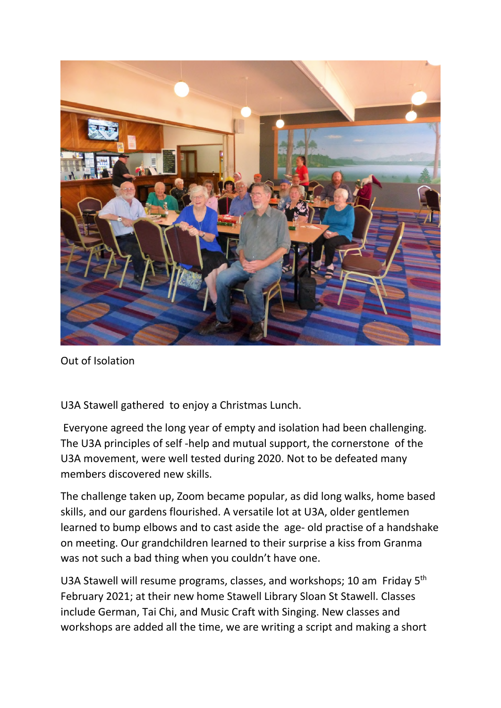

Out of Isolation

U3A Stawell gathered to enjoy a Christmas Lunch.

 Everyone agreed the long year of empty and isolation had been challenging. The U3A principles of self -help and mutual support, the cornerstone of the U3A movement, were well tested during 2020. Not to be defeated many members discovered new skills.

The challenge taken up, Zoom became popular, as did long walks, home based skills, and our gardens flourished. A versatile lot at U3A, older gentlemen learned to bump elbows and to cast aside the age- old practise of a handshake on meeting. Our grandchildren learned to their surprise a kiss from Granma was not such a bad thing when you couldn't have one.

U3A Stawell will resume programs, classes, and workshops; 10 am Friday 5<sup>th</sup> February 2021; at their new home Stawell Library Sloan St Stawell. Classes include German, Tai Chi, and Music Craft with Singing. New classes and workshops are added all the time, we are writing a script and making a short